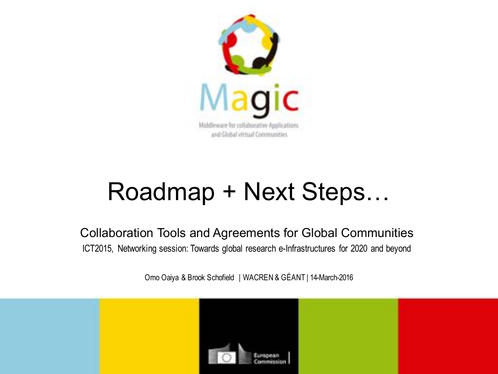

# Roadmap + Next Steps…

Collaboration Tools and Agreements for Global Communities ICT2015, Networking session: Towards global research e-Infrastructures for 2020 and beyond

Omo Oaiya & Brook Schofield | WACREN & GÉANT | 14-March-2016

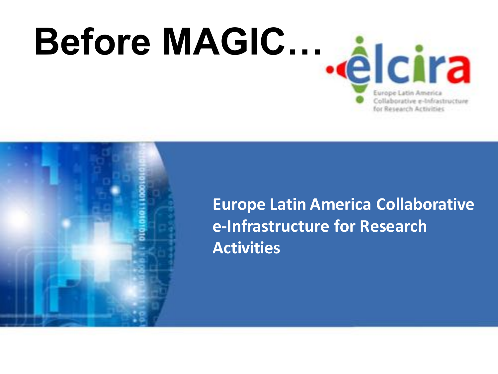



**Europe Latin America Collaborative e-Infrastructure for Research Activities**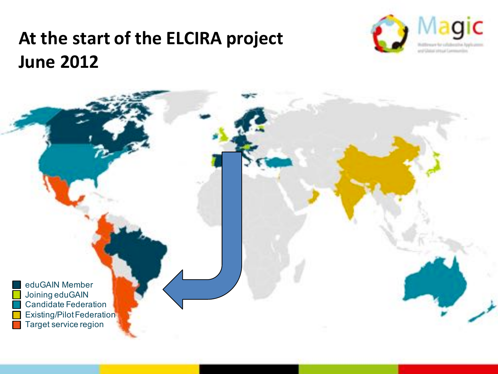#### At the start of the ELCIRA project **June 2012**



eduGAIN Member Joining eduGAIN Candidate Federation Existing/Pilot Federation Target service region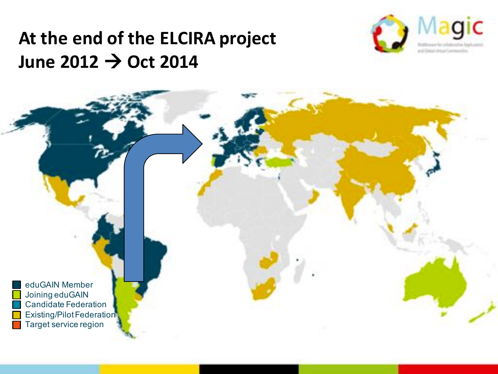#### At the end of the ELCIRA project **June 2012 → Oct 2014**



eduGAIN Member Joining eduGAIN Candidate Federation Existing/Pilot Federation Target service region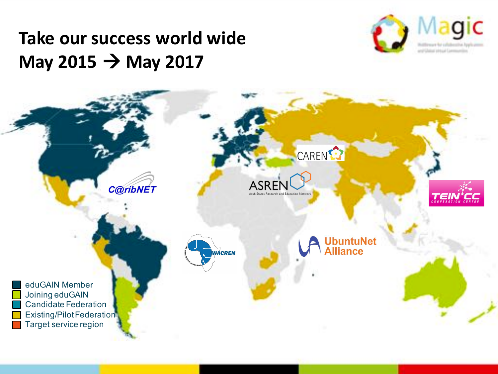#### **Take our success world wide May 2015**  $\rightarrow$  **May 2017**



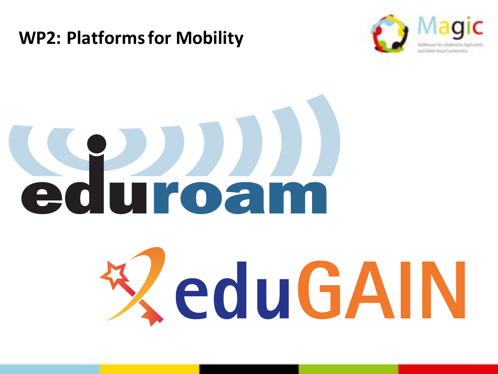#### **WP2: Platforms for Mobility**



# Sauroam

# ZeduGAIN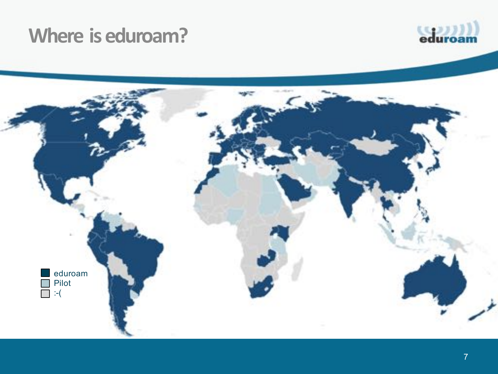#### **Where is eduroam?**



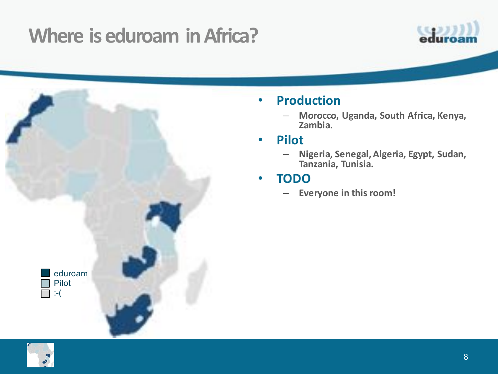## **Where is eduroam in Africa?**



#### • **Production**

 $-$  Morocco, Uganda, South Africa, Kenya, **Zambia.**

#### • **Pilot**

– **Nigeria, Senegal, Algeria, Egypt, Sudan, Tanzania, Tunisia.**

#### • **TODO**

 $-$  **Everyone in this room!** 



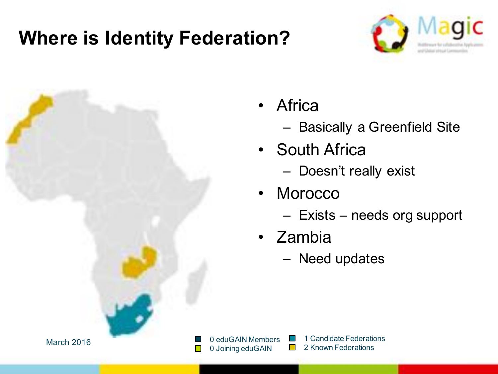### **Where is Identity Federation?**





- Africa
	- Basically a Greenfield Site
- South Africa
	- Doesn't really exist
- Morocco
	- Exists needs org support
- Zambia
	- Need updates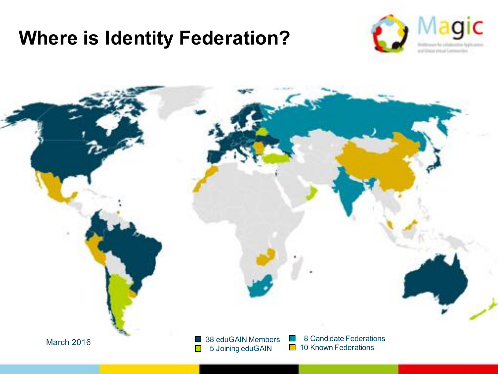#### **Where is Identity Federation?**